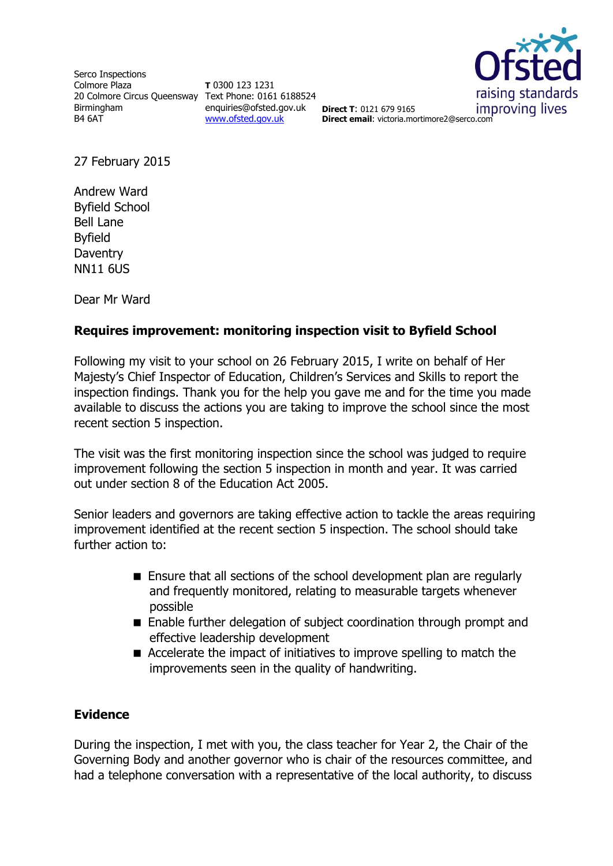Serco Inspections Colmore Plaza 20 Colmore Circus Queensway Text Phone: 0161 6188524 Birmingham B4 6AT

**T** 0300 123 1231 enquiries@ofsted.gov.uk [www.ofsted.gov.uk](http://www.ofsted.gov.uk/)



**Direct T**: 0121 679 9165 **Direct email**: victoria.mortimore2@serco.com

27 February 2015

Andrew Ward Byfield School Bell Lane Byfield **Daventry** NN11 6US

Dear Mr Ward

## **Requires improvement: monitoring inspection visit to Byfield School**

Following my visit to your school on 26 February 2015, I write on behalf of Her Majesty's Chief Inspector of Education, Children's Services and Skills to report the inspection findings. Thank you for the help you gave me and for the time you made available to discuss the actions you are taking to improve the school since the most recent section 5 inspection.

The visit was the first monitoring inspection since the school was judged to require improvement following the section 5 inspection in month and year. It was carried out under section 8 of the Education Act 2005.

Senior leaders and governors are taking effective action to tackle the areas requiring improvement identified at the recent section 5 inspection. The school should take further action to:

- Ensure that all sections of the school development plan are regularly and frequently monitored, relating to measurable targets whenever possible
- Enable further delegation of subject coordination through prompt and effective leadership development
- Accelerate the impact of initiatives to improve spelling to match the improvements seen in the quality of handwriting.

### **Evidence**

During the inspection, I met with you, the class teacher for Year 2, the Chair of the Governing Body and another governor who is chair of the resources committee, and had a telephone conversation with a representative of the local authority, to discuss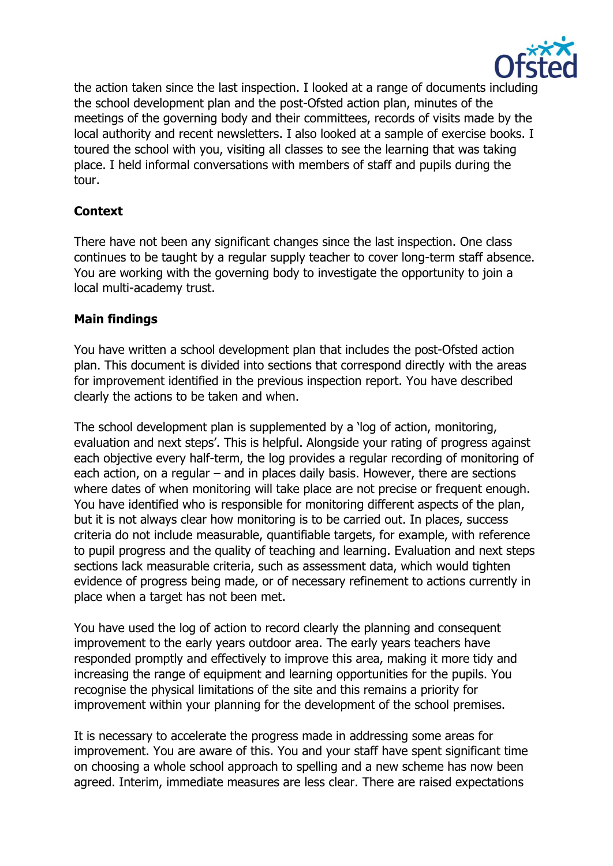

the action taken since the last inspection. I looked at a range of documents including the school development plan and the post-Ofsted action plan, minutes of the meetings of the governing body and their committees, records of visits made by the local authority and recent newsletters. I also looked at a sample of exercise books. I toured the school with you, visiting all classes to see the learning that was taking place. I held informal conversations with members of staff and pupils during the tour.

# **Context**

There have not been any significant changes since the last inspection. One class continues to be taught by a regular supply teacher to cover long-term staff absence. You are working with the governing body to investigate the opportunity to join a local multi-academy trust.

# **Main findings**

You have written a school development plan that includes the post-Ofsted action plan. This document is divided into sections that correspond directly with the areas for improvement identified in the previous inspection report. You have described clearly the actions to be taken and when.

The school development plan is supplemented by a 'log of action, monitoring, evaluation and next steps'. This is helpful. Alongside your rating of progress against each objective every half-term, the log provides a regular recording of monitoring of each action, on a regular – and in places daily basis. However, there are sections where dates of when monitoring will take place are not precise or frequent enough. You have identified who is responsible for monitoring different aspects of the plan, but it is not always clear how monitoring is to be carried out. In places, success criteria do not include measurable, quantifiable targets, for example, with reference to pupil progress and the quality of teaching and learning. Evaluation and next steps sections lack measurable criteria, such as assessment data, which would tighten evidence of progress being made, or of necessary refinement to actions currently in place when a target has not been met.

You have used the log of action to record clearly the planning and consequent improvement to the early years outdoor area. The early years teachers have responded promptly and effectively to improve this area, making it more tidy and increasing the range of equipment and learning opportunities for the pupils. You recognise the physical limitations of the site and this remains a priority for improvement within your planning for the development of the school premises.

It is necessary to accelerate the progress made in addressing some areas for improvement. You are aware of this. You and your staff have spent significant time on choosing a whole school approach to spelling and a new scheme has now been agreed. Interim, immediate measures are less clear. There are raised expectations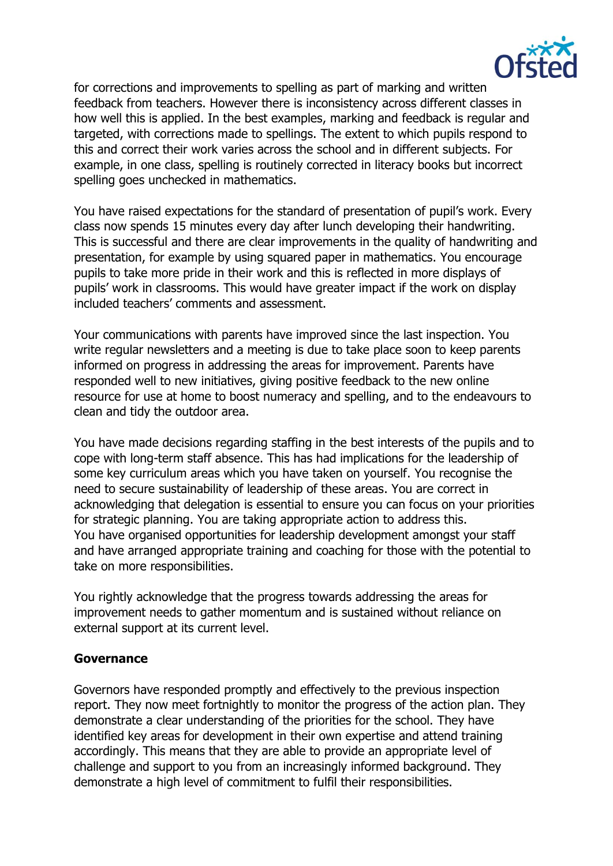

for corrections and improvements to spelling as part of marking and written feedback from teachers. However there is inconsistency across different classes in how well this is applied. In the best examples, marking and feedback is regular and targeted, with corrections made to spellings. The extent to which pupils respond to this and correct their work varies across the school and in different subjects. For example, in one class, spelling is routinely corrected in literacy books but incorrect spelling goes unchecked in mathematics.

You have raised expectations for the standard of presentation of pupil's work. Every class now spends 15 minutes every day after lunch developing their handwriting. This is successful and there are clear improvements in the quality of handwriting and presentation, for example by using squared paper in mathematics. You encourage pupils to take more pride in their work and this is reflected in more displays of pupils' work in classrooms. This would have greater impact if the work on display included teachers' comments and assessment.

Your communications with parents have improved since the last inspection. You write regular newsletters and a meeting is due to take place soon to keep parents informed on progress in addressing the areas for improvement. Parents have responded well to new initiatives, giving positive feedback to the new online resource for use at home to boost numeracy and spelling, and to the endeavours to clean and tidy the outdoor area.

You have made decisions regarding staffing in the best interests of the pupils and to cope with long-term staff absence. This has had implications for the leadership of some key curriculum areas which you have taken on yourself. You recognise the need to secure sustainability of leadership of these areas. You are correct in acknowledging that delegation is essential to ensure you can focus on your priorities for strategic planning. You are taking appropriate action to address this. You have organised opportunities for leadership development amongst your staff and have arranged appropriate training and coaching for those with the potential to take on more responsibilities.

You rightly acknowledge that the progress towards addressing the areas for improvement needs to gather momentum and is sustained without reliance on external support at its current level.

### **Governance**

Governors have responded promptly and effectively to the previous inspection report. They now meet fortnightly to monitor the progress of the action plan. They demonstrate a clear understanding of the priorities for the school. They have identified key areas for development in their own expertise and attend training accordingly. This means that they are able to provide an appropriate level of challenge and support to you from an increasingly informed background. They demonstrate a high level of commitment to fulfil their responsibilities.